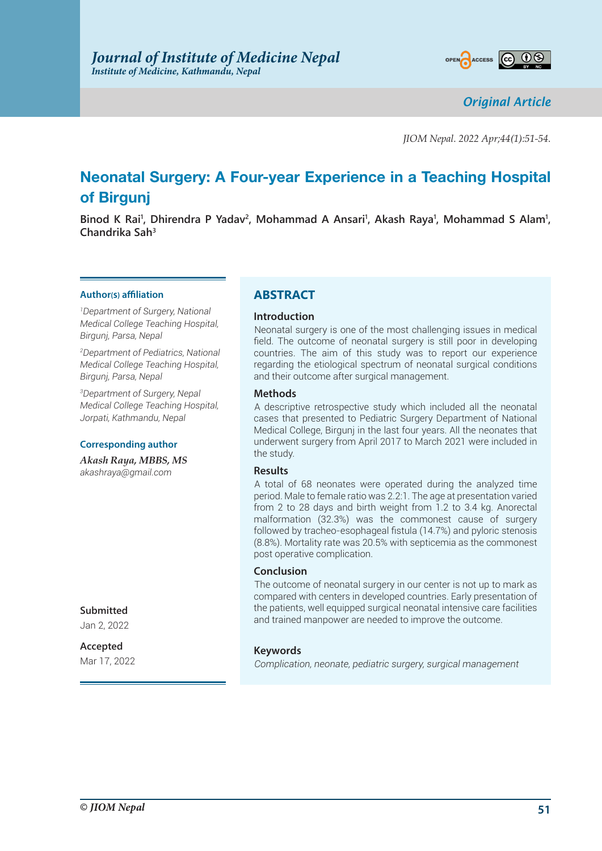

*Original Article*

*JIOM Nepal. 2022 Apr;44(1):51-54.*

# **Neonatal Surgery: A Four-year Experience in a Teaching Hospital of Birgunj**

Binod K Rai<sup>1</sup>, Dhirendra P Yadav<sup>2</sup>, Mohammad A Ansari<sup>1</sup>, Akash Raya<sup>1</sup>, Mohammad S Alam<sup>1</sup>, **Chandrika Sah3**

#### **Author(s) affiliation**

*1 Department of Surgery, National Medical College Teaching Hospital, Birgunj, Parsa, Nepal*

*2 Department of Pediatrics, National Medical College Teaching Hospital, Birgunj, Parsa, Nepal*

*3 Department of Surgery, Nepal Medical College Teaching Hospital, Jorpati, Kathmandu, Nepal*

#### **Corresponding author**

*Akash Raya, MBBS, MS akashraya@gmail.com*

# **ABSTRACT**

#### **Introduction**

Neonatal surgery is one of the most challenging issues in medical field. The outcome of neonatal surgery is still poor in developing countries. The aim of this study was to report our experience regarding the etiological spectrum of neonatal surgical conditions and their outcome after surgical management.

#### **Methods**

A descriptive retrospective study which included all the neonatal cases that presented to Pediatric Surgery Department of National Medical College, Birgunj in the last four years. All the neonates that underwent surgery from April 2017 to March 2021 were included in the study.

#### **Results**

A total of 68 neonates were operated during the analyzed time period. Male to female ratio was 2.2:1. The age at presentation varied from 2 to 28 days and birth weight from 1.2 to 3.4 kg. Anorectal malformation (32.3%) was the commonest cause of surgery followed by tracheo-esophageal fistula (14.7%) and pyloric stenosis (8.8%). Mortality rate was 20.5% with septicemia as the commonest post operative complication.

#### **Conclusion**

The outcome of neonatal surgery in our center is not up to mark as compared with centers in developed countries. Early presentation of the patients, well equipped surgical neonatal intensive care facilities and trained manpower are needed to improve the outcome.

### **Keywords**

*Complication, neonate, pediatric surgery, surgical management*

**Submitted**

Jan 2, 2022

**Accepted** Mar 17, 2022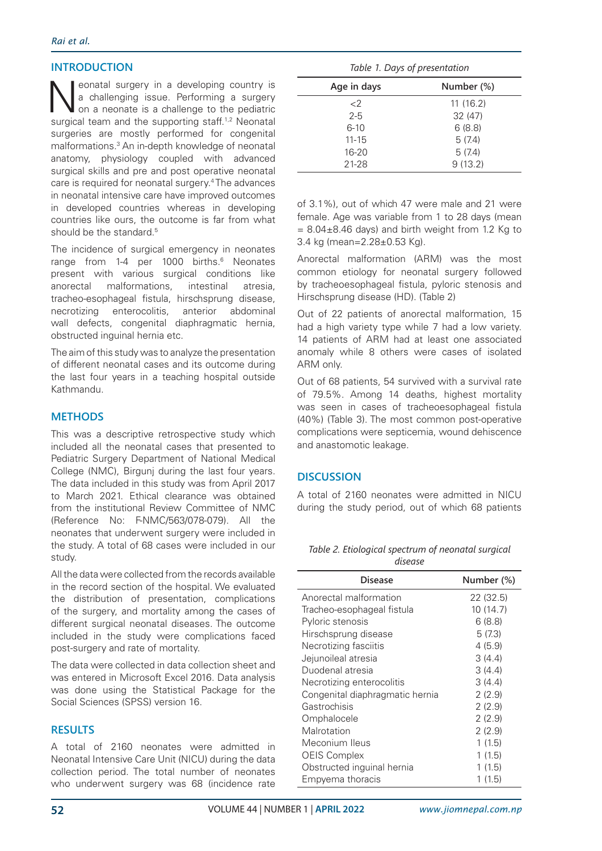# **INTRODUCTION**

Neonatal surgery in a developing country is<br>a challenging issue. Performing a surgery<br>on a neonate is a challenge to the pediatric<br>surgical team and the supporting staff 12 Neonatal a challenging issue. Performing a surgery on a neonate is a challenge to the pediatric surgical team and the supporting staff.<sup>1,2</sup> Neonatal surgeries are mostly performed for congenital malformations.3 An in-depth knowledge of neonatal anatomy, physiology coupled with advanced surgical skills and pre and post operative neonatal care is required for neonatal surgery.4 The advances in neonatal intensive care have improved outcomes in developed countries whereas in developing countries like ours, the outcome is far from what should be the standard.<sup>5</sup>

The incidence of surgical emergency in neonates range from 1-4 per 1000 births.<sup>6</sup> Neonates present with various surgical conditions like anorectal malformations, intestinal atresia, tracheo-esophageal fistula, hirschsprung disease, necrotizing enterocolitis, anterior abdominal wall defects, congenital diaphragmatic hernia, obstructed inguinal hernia etc.

The aim of this study was to analyze the presentation of different neonatal cases and its outcome during the last four years in a teaching hospital outside Kathmandu.

## **METHODS**

This was a descriptive retrospective study which included all the neonatal cases that presented to Pediatric Surgery Department of National Medical College (NMC). Birguni during the last four years. The data included in this study was from April 2017 to March 2021. Ethical clearance was obtained from the institutional Review Committee of NMC (Reference No: F-NMC/563/078-079). All the neonates that underwent surgery were included in the study. A total of 68 cases were included in our study.

All the data were collected from the records available in the record section of the hospital. We evaluated the distribution of presentation, complications of the surgery, and mortality among the cases of different surgical neonatal diseases. The outcome included in the study were complications faced post-surgery and rate of mortality.

The data were collected in data collection sheet and was entered in Microsoft Excel 2016. Data analysis was done using the Statistical Package for the Social Sciences (SPSS) version 16.

### **RESULTS**

A total of 2160 neonates were admitted in Neonatal Intensive Care Unit (NICU) during the data collection period. The total number of neonates who underwent surgery was 68 (incidence rate

*Table 1. Days of presentation*

| Age in days | Number (%) |
|-------------|------------|
| $\langle$   | 11(16.2)   |
| $2 - 5$     | 32(47)     |
| $6 - 10$    | 6(8.8)     |
| $11 - 15$   | 5(7.4)     |
| $16 - 20$   | 5(7.4)     |
| 21-28       | 9(13.2)    |

of 3.1%), out of which 47 were male and 21 were female. Age was variable from 1 to 28 days (mean  $= 8.04\pm8.46$  days) and birth weight from 1.2 Kg to 3.4 kg (mean=2.28±0.53 Kg).

Anorectal malformation (ARM) was the most common etiology for neonatal surgery followed by tracheoesophageal fistula, pyloric stenosis and Hirschsprung disease (HD). (Table 2)

Out of 22 patients of anorectal malformation, 15 had a high variety type while 7 had a low variety. 14 patients of ARM had at least one associated anomaly while 8 others were cases of isolated ARM only.

Out of 68 patients, 54 survived with a survival rate of 79.5%. Among 14 deaths, highest mortality was seen in cases of tracheoesophageal fistula (40%) (Table 3). The most common post-operative complications were septicemia, wound dehiscence and anastomotic leakage.

# **DISCUSSION**

A total of 2160 neonates were admitted in NICU during the study period, out of which 68 patients

| Table 2. Etiological spectrum of neonatal surgical |
|----------------------------------------------------|
| disease                                            |

| <b>Disease</b>                  | Number (%) |
|---------------------------------|------------|
| Anorectal malformation          | 22 (32.5)  |
| Tracheo-esophageal fistula      | 10(14.7)   |
| Pyloric stenosis                | 6(8.8)     |
| Hirschsprung disease            | 5(7.3)     |
| Necrotizing fasciitis           | 4(5.9)     |
| Jejunoileal atresia             | 3(4.4)     |
| Duodenal atresia                | 3(4.4)     |
| Necrotizing enterocolitis       | 3(4.4)     |
| Congenital diaphragmatic hernia | 2(2.9)     |
| Gastrochisis                    | 2(2.9)     |
| Omphalocele                     | 2(2.9)     |
| Malrotation                     | 2(2.9)     |
| Meconium Ileus                  | 1(1.5)     |
| <b>OEIS Complex</b>             | 1(1.5)     |
| Obstructed inguinal hernia      | 1(1.5)     |
| Empyema thoracis                | 1 (1.5)    |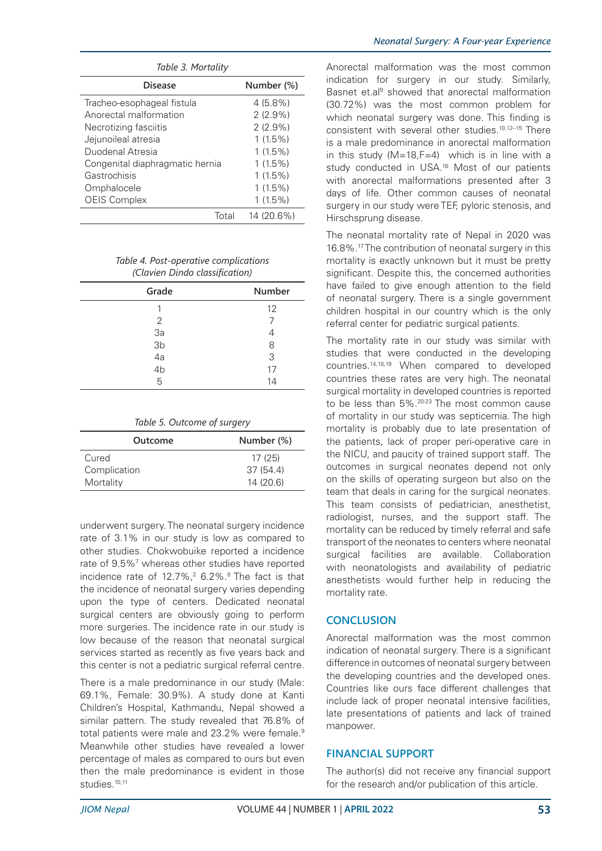| Table 3. Mortality              |            |  |
|---------------------------------|------------|--|
| <b>Disease</b>                  | Number (%) |  |
| Tracheo-esophageal fistula      | $4(5.8\%)$ |  |
| Anorectal malformation          | $2(2.9\%)$ |  |
| Necrotizing fasciitis           | $2(2.9\%)$ |  |
| Jejunoileal atresia             | $1(1.5\%)$ |  |
| Duodenal Atresia                | $1(1.5\%)$ |  |
| Congenital diaphragmatic hernia | $1(1.5\%)$ |  |
| Gastrochisis                    | $1(1.5\%)$ |  |
| Omphalocele                     | $1(1.5\%)$ |  |
| <b>OEIS Complex</b>             | $1(1.5\%)$ |  |
| Total                           | 14 (20.6%) |  |

*Table 4. Post-operative complications (Clavien Dindo classification)* 

| Grade                        | Number |
|------------------------------|--------|
|                              | 12     |
| 2                            |        |
|                              |        |
|                              | 8      |
| $3a$<br>$3b$<br>$4a$<br>$4b$ | 3      |
|                              | 17     |
| 5                            | 14     |

| Outcome      | Number (%) |
|--------------|------------|
| Cured        | 17(25)     |
| Complication | 37(54.4)   |
| Mortality    | 14(20.6)   |

underwent surgery. The neonatal surgery incidence rate of 3.1% in our study is low as compared to other studies. Chokwobuike reported a incidence rate of 9.5%<sup>7</sup> whereas other studies have reported incidence rate of 12.7%,<sup>2</sup> 6.2%.<sup>8</sup> The fact is that the incidence of neonatal surgery varies depending upon the type of centers. Dedicated neonatal surgical centers are obviously going to perform more surgeries. The incidence rate in our study is low because of the reason that neonatal surgical services started as recently as five years back and this center is not a pediatric surgical referral centre.

There is a male predominance in our study (Male: 69.1%, Female: 30.9%). A study done at Kanti Children's Hospital, Kathmandu, Nepal showed a similar pattern. The study revealed that 76.8% of total patients were male and 23.2% were female.<sup>9</sup> Meanwhile other studies have revealed a lower percentage of males as compared to ours but even then the male predominance is evident in those studies.<sup>10,11</sup>

Anorectal malformation was the most common indication for surgery in our study. Similarly, Basnet et.al<sup>9</sup> showed that anorectal malformation (30.72%) was the most common problem for which neonatal surgery was done. This finding is consistent with several other studies.<sup>10,12-15</sup> There is a male predominance in anorectal malformation in this study  $(M=18, F=4)$  which is in line with a study conducted in USA.16 Most of our patients with anorectal malformations presented after 3 days of life. Other common causes of neonatal surgery in our study were TEF, pyloric stenosis, and Hirschsprung disease.

The neonatal mortality rate of Nepal in 2020 was 16.8%.17 The contribution of neonatal surgery in this mortality is exactly unknown but it must be pretty significant. Despite this, the concerned authorities have failed to give enough attention to the field of neonatal surgery. There is a single government children hospital in our country which is the only referral center for pediatric surgical patients.

The mortality rate in our study was similar with studies that were conducted in the developing countries.14,18,19 When compared to developed countries these rates are very high. The neonatal surgical mortality in developed countries is reported to be less than 5%.20-23 The most common cause of mortality in our study was septicemia. The high mortality is probably due to late presentation of the patients, lack of proper peri-operative care in the NICU, and paucity of trained support staff. The outcomes in surgical neonates depend not only on the skills of operating surgeon but also on the team that deals in caring for the surgical neonates. This team consists of pediatrician, anesthetist, radiologist, nurses, and the support staff. The mortality can be reduced by timely referral and safe transport of the neonates to centers where neonatal surgical facilities are available. Collaboration with neonatologists and availability of pediatric anesthetists would further help in reducing the mortality rate.

# **CONCLUSION**

Anorectal malformation was the most common indication of neonatal surgery. There is a significant difference in outcomes of neonatal surgery between the developing countries and the developed ones. Countries like ours face different challenges that include lack of proper neonatal intensive facilities, late presentations of patients and lack of trained manpower.

# **FINANCIAL SUPPORT**

The author(s) did not receive any financial support for the research and/or publication of this article.